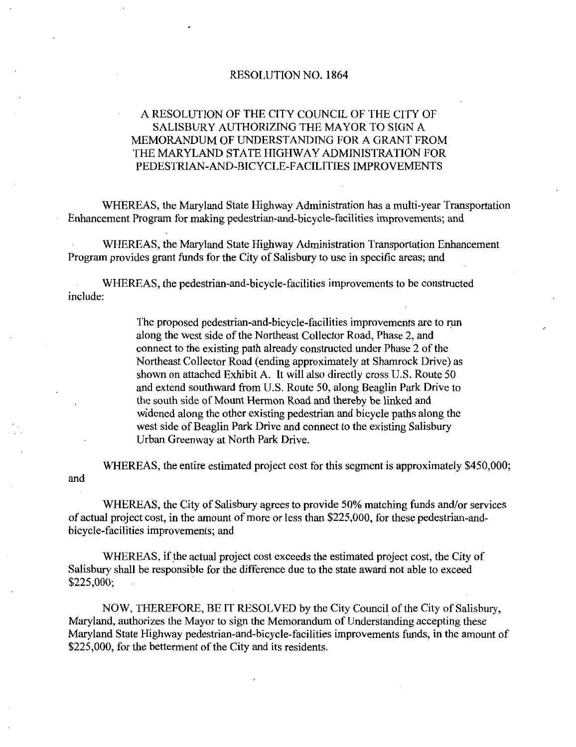#### RESOLUTION NO. 1864

# A RESOLUTION OF THE CITY COUNCIL OF THE CITY OF SALISBURY AUTHORIZING THE MAYOR TO SIGN A MEMORANDUM OF UNDERSTANDING FOR A GRANT FROM THE MARYLAND STATE HIGHWAY ADMINISTRATION FOR A RESOLUTION OF THE CITY COUNCIL OF THE CITY OF SALISBURY AUTHORIZING THE MAYOR TO SIGN A MEMORANDUM OF UNDERSTANDING FOR A GRANT FROM THE MARYLAND STATE HIGHWAY ADMINISTRATION FOR PEDESTRIAN-AND-BICYCLE-FACILITIES IMPROVE

WHEREAS, the Maryland State Highway Administration has a multi-year Transportation PEDESTRIAN-AND-BICYCLE-FACILITIES IMPROVEMENTS<br>WHEREAS, the Maryland State Highway Administration has a multi-year Trans<br>Enhancement Program for making pedestrian-and-bicycle-facilities improvements; and

WHEREAS, the Maryland State Highway Administration Transportation Enhancement Program provides grant funds for the City of Salisbury to use in specific areas; and WHEREAS, the Maryland State Highway Administration Transportation Enhance<br>n provides grant funds for the City of Salisbury to use in specific areas; and<br>WHEREAS, the pedestrian-and-bicycle-facilities improvements to be con

include:

EAS, the pedestrian-and-bicycle-facilities improvements to be constructed.<br>The proposed pedestrian-and-bicycle-facilities improvements are to run<br>along the west side of the Northeast Collector Road, Phase 2, and<br>annual to The proposed pedestrian-and-bicycle-facilities improvements are to run along the west side of the Northeast Collector Road. Phase 2, and connect to the existing path already constructed under Phase 2 of the Northeast Collector Road (ending approximately at Shamrock Drive) as Northeast Collector Road (ending approximately at Shamrock Drive) as shown on attached Exhibit A. It will also directly cross U.S. Route 50 shown on attached Exhibit A. It will also directly cross U.S. Route 50 and extend southward from U.S. Route 50, along Beaglin Park Drive to the south side of Mount Hermon Road and thereby be linked and widened along the other existing pedestrian and bicycle paths along the west side of Beaglin Park Drive and connect to the existing Salisbury Urban Greenway at North Park Drive

WHEREAS, the entire estimated project cost for this segment is approximately \$450,000; and

WHEREAS, the City of Salisbury agrees to provide 50% matching funds and/or services of actual project cost, in the amount of more or less than \$225,000, for these pedestrian-andbicycle-facilities improvements; and

WHEREAS, if the actual project cost exceeds the estimated project cost, the City of Salisbury shall be responsible for the difference due to the state award not able to exceed \$225,000:

NOW, THEREFORE, BE IT RESOLVED by the City Council of the City of Salisbury, Maryland, authorizes the Mayor to sign the Memorandum of Understanding accepting these Maryland State Highway pedestrian-and-bicycle-facilities improvements funds, in the amount of \$225,000, for the betterment of the City and its residents.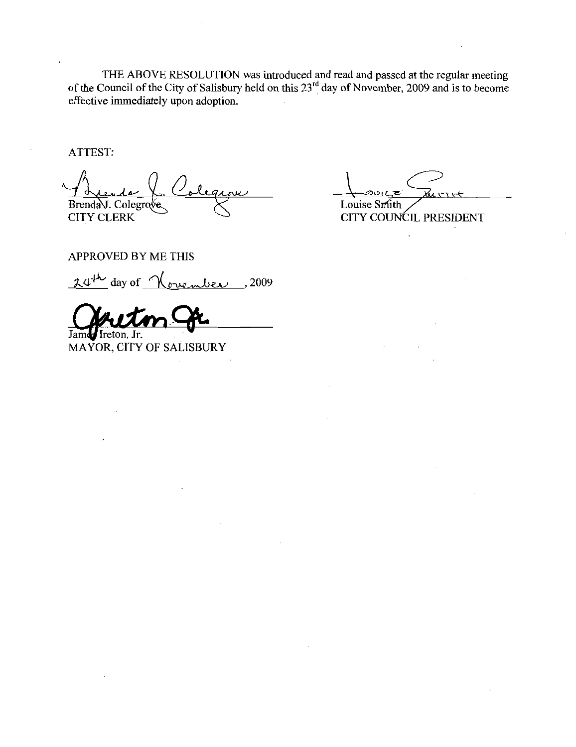THE ABOVE RESOLUTION was introduced and read and passed at the regular meeting<br>of the Council of the City of Salisbury held on this 23<sup>rd</sup> day of November, 2009 and is to become effective immediately upon adoption.

ATTEST:

Brenda J. Colegrove **CITY CLERK** 

いいっけ Louise Smith

CITY COUNCIL PRESIDENT

APPROVED BY ME THIS

 $2009$  day of November, 2009

James Ireton, Jr.

MAYOR, CITY OF SALISBURY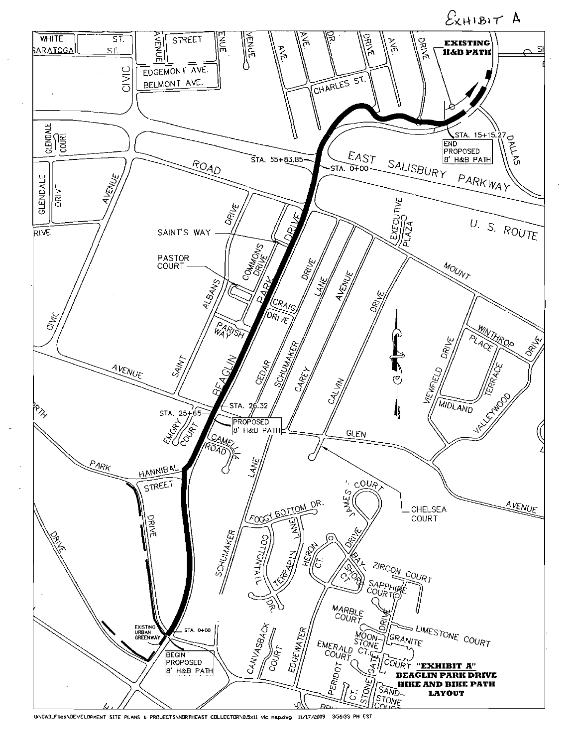

UNCAD\_FILesNDEVELOPMENT SITE PLANS & PROJECTSNMORTHEAST COLLECTORN8.5x11 vic nap.dwg 11/17/2009 35643 PM EST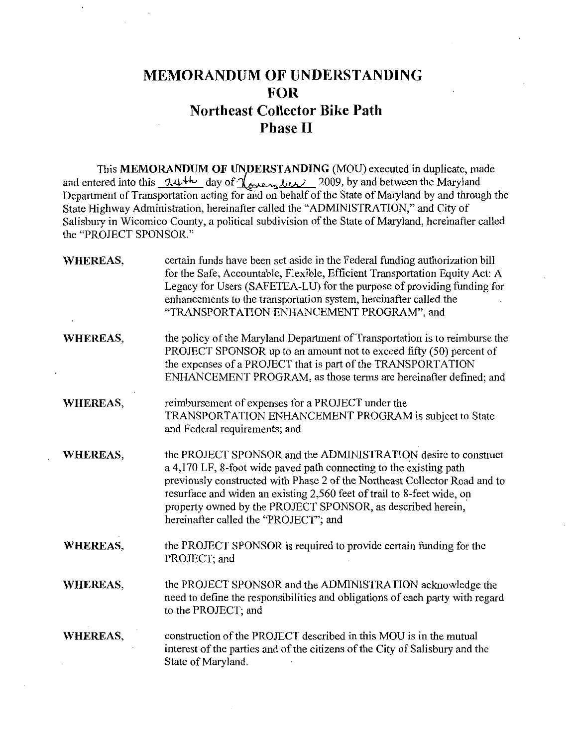# MEMORANDUM OF UNDERSTANDING FOR Northeast Collector Bike Path Phase II

This MEMORANDUM OF UNDERSTANDING (MOU) executed in duplicate, made This MEMORANDUM OF UNDERSTANDING (MOU) executed in duplicate, made<br>and entered into this  $24^{4k}$  day of  $\chi_{\text{rel}}$  and  $\chi_{\text{rel}}$  2009, by and between the Maryland<br>Department of Transportation acting for and on behalf of State Highway Administration, hereinafter called the "ADMINISTRATION," and City of Salisbury in Wicomico County, a political subdivision of the State of Maryland, hereinafter called the "PROJECT SPONSOR."

| <b>WHEREAS,</b> | certain funds have been set aside in the Federal funding authorization bill<br>for the Safe, Accountable, Flexible, Efficient Transportation Equity Act: A<br>Legacy for Users (SAFETEA-LU) for the purpose of providing funding for<br>enhancements to the transportation system, hereinafter called the<br>"TRANSPORTATION ENHANCEMENT PROGRAM"; and                                               |
|-----------------|------------------------------------------------------------------------------------------------------------------------------------------------------------------------------------------------------------------------------------------------------------------------------------------------------------------------------------------------------------------------------------------------------|
| <b>WHEREAS,</b> | the policy of the Maryland Department of Transportation is to reimburse the<br>PROJECT SPONSOR up to an amount not to exceed fifty (50) percent of<br>the expenses of a PROJECT that is part of the TRANSPORTATION<br>ENHANCEMENT PROGRAM, as those terms are hereinafter defined; and                                                                                                               |
| WHEREAS,        | reimbursement of expenses for a PROJECT under the<br>TRANSPORTATION ENHANCEMENT PROGRAM is subject to State<br>and Federal requirements; and                                                                                                                                                                                                                                                         |
| <b>WHEREAS,</b> | the PROJECT SPONSOR and the ADMINISTRATION desire to construct<br>a 4,170 LF, 8-foot wide paved path connecting to the existing path<br>previously constructed with Phase 2 of the Northeast Collector Road and to<br>resurface and widen an existing 2,560 feet of trail to 8-feet wide, on<br>property owned by the PROJECT SPONSOR, as described herein,<br>hereinafter called the "PROJECT"; and |
| <b>WHEREAS,</b> | the PROJECT SPONSOR is required to provide certain funding for the<br>PROJECT; and                                                                                                                                                                                                                                                                                                                   |
| <b>WHEREAS,</b> | the PROJECT SPONSOR and the ADMINISTRATION acknowledge the<br>need to define the responsibilities and obligations of each party with regard<br>to the PROJECT; and                                                                                                                                                                                                                                   |
| <b>WHEREAS,</b> | construction of the PROJECT described in this MOU is in the mutual<br>interest of the parties and of the citizens of the City of Salisbury and the<br>State of Maryland.                                                                                                                                                                                                                             |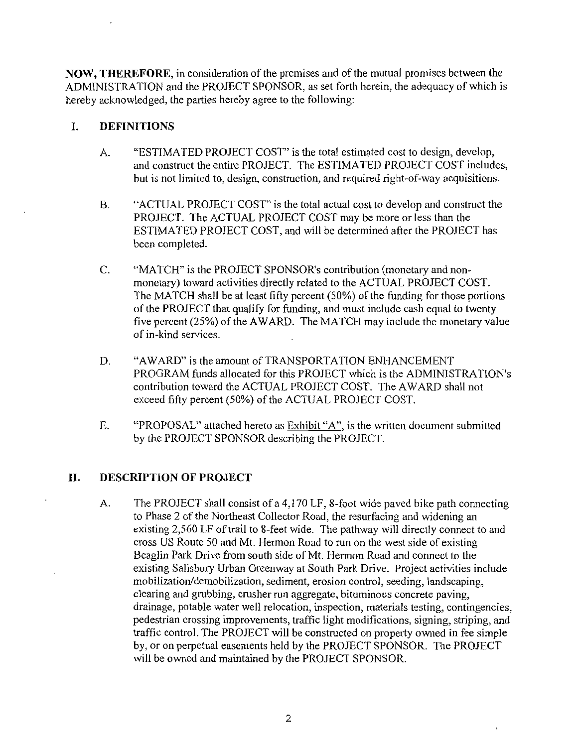NOW, THEREFORE, in consideration of the premises and of the mutual promises between the ADMINISTRATION and the PROJECT SPONSOR, as set forth herein, the adequacy of which is hereby acknowledged, the parties hereby agree to the following:

### 1. DEFINITIONS

- A. "ESTIMATED PROJECT COST" is the total estimated cost to design, develop,<br>and construct the entire PROJECT. The ESTIMATED PROJECT COST includes, but is not limited to, design, construction, and required right-of-way acquisitions.
- B. "ACTUAL PROJECT COST" is the total actual cost to develop and construct the PROJECT. The ACTUAL PROJECT COST may be more or less than the ESTIMATED PROJECT COST, and will be determined after the PROJECT has been completed B. "ACTUAL PROJECT COST" is the total actual cost to develop and constrient PROJECT. The ACTUAL PROJECT COST may be more or less than the ESTIMATED PROJECT COST, and will be determined after the PROJEC been completed.<br>C. "
- monetary) toward activities directly related to the ACTUAL PROJECT COST. The MATCH shall be at least fifty percent (50%) of the funding for those portions of the PROJECT that qualify for funding and must include cash equal to twenty of the PROJECT that qualify for funding, and must include cash equal to twenty five percent (25%) of the AWARD. The MATCH may include the monetary value of in-kind services. Friess than the<br>etary and non-<br>PROJECT COST.<br>ling for those portions<br>cash equal to twenty<br>ide the monetary value<br>CEMENT<br>CEMENT<br>ADMINISTRATION's<br>WARD shall not<br>T.
- D. "AWARD" is the amount of TRANSPORTATION ENHANCEMENT PROGRAM funds allocated for this PROJECT which is the contribution toward the ACTUAL PROJECT COST. The AWARD shall not exceed fifty percent (50%) of the ACTUAL PROJECT COST.
- E. "PROPOSAL" attached hereto as Exhibit "A", is the written document submitted by the PROJECT SPONSOR describing the PROJECT

# II. DESCRIPTION OF PROJECT

A. The PROJECT shall consist of a 4,170 LF, 8-foot wide paved bike path connecting to Phase 2 of the Northeast Collector Road, the resurfacing and widening an existing 2,560 LF of trail to 8-feet wide. The pathway will directly connect to and cross US Route 50 and Mt. Hermon Road to run on the west side of existing Beaglin Park Drive from south side of Mt. Hermon Road and connect to the existing Salisbury Urban Greenway at South Park Drive. Project activities include mobilization/demobilization, sediment, erosion control, seeding, landscaping, clearing and grubbing, crusher run aggregate, bituminous concrete paving, drainage, potable water well relocation, inspection, materials testing, contingencies, pedestrian crossing improvements, traffic light modifications, signing, striping, and traffic control. The PROJECT will be constructed on property owned in fee simple by, or on perpetual easements held by the PROJECT SPONSOR. The PROJECT will be owned and maintained by the PROJECT SPONSOR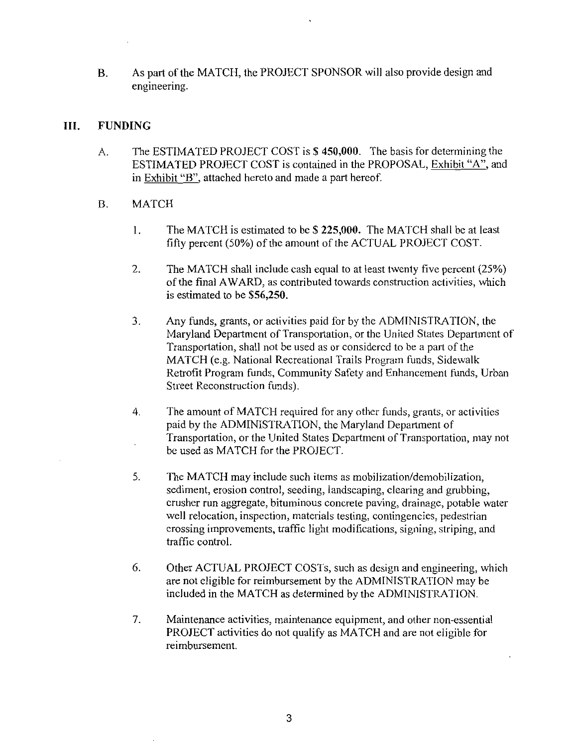B. As part of the MATCH, the PROJECT SPONSOR will also provide design and engineering

# III FUNDING

A. The ESTIMATED PROJECT COST is \$450,000. The basis for determining the ESTIMATED PROJECT COST is contained in the PROPOSAL, Exhibit "A", and in Exhibit "B", attached hereto and made a part hereof. FIMATED PROJECT COST is \$450,000. The basis for determining<br>ATED PROJECT COST is contained in the PROPOSAL, Exhibit "A'<br>bit "B", attached hereto and made a part hereof.<br>H<br>The MATCH is estimated to be \$225,000. The MATCH sh

# B. MATCH

- $\mathbf{1}$ . The MATCH is estimated to be \$225,000. The MATCH shall be at least fifty percent (50%) of the amount of the ACTUAL PROJECT COST.
- 2. The MATCH shall include cash equal to at least twenty five percent (25%) of the final AWARD, as contributed towards construction activities, which<br>is estimated to be  $$56,250$ .
- $3.$ Any funds, grants, or activities paid for by the ADMINISTRATION, the Maryland Department of Transportation, or the United States Department of Transportation, shall not be used as or considered to be a part of the MATCH (e.g. National Recreational Trails Program funds, Sidewalk Retrofit Program funds, Community Safety and Enhancement funds, Urban Street Reconstruction funds
- The amount of MATCH required for any other funds, grants, or activities  $\overline{4}$ . paid by the ADMINISTRATION, the Maryland Department of Transportation, or the United States Department of Transportation, may not be used as MATCH for the PROJECT
- 5. The MATCH may include such items as mobilization/demobilization, sediment, erosion control, seeding, landscaping, clearing and grubbing, crusher run aggregate, bituminous concrete paving, drainage, potable water well relocation, inspection, materials testing, contingencies, pedestrian crossing improvements, traffic light modifications, signing, striping, and traffic control
- 6. Other ACTUAL PROJECT COSTs, such as design and engineering, which are not eligible for reimbursement by the ADMINISTRATION may be included in the MATCH as determined by the ADMINISTRATION
- 7. Maintenance activities, maintenance equipment, and other non-essential PROJECT activities do not qualify as MATCH and are not eligible for reimbursement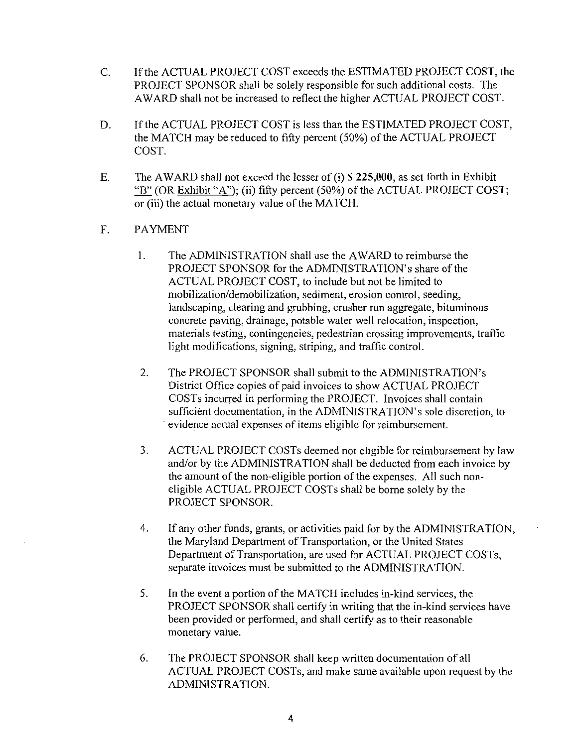- C. If the ACTUAL PROJECT COST exceeds the ESTIMATED PROJECT COST, the PROJECT SPONSOR shall be solely responsible for such additional costs. The AWARD shall not be increased to reflect the higher ACTUAL PROJECT COST
- D. If the ACTUAL PROJECT COST is less than the ESTIMATED PROJECT COST, the MATCH may be reduced to fifty percent (50%) of the ACTUAL PROJECT COST
- E. The AWARD shall not exceed the lesser of (i)  $\$$  225,000, as set forth in Exhibit  $\frac{H''B''}{B''}$  (OR Exhibit "A"); (ii) fifty percent (50%) of the ACTUAL PROJECT COST; or (iii) the actual monetary value of the MATCH.
- F. PAYMENT
- VARD shall not exceed the lesser of (i) \$ 225,000, as set forth in ER Exhibit "A"); (ii) fifty percent (50%) of the ACTUAL PROJEC"<br>the actual monetary value of the MATCH.<br>ENT<br>The ADMINISTRATION shall use the AWARD to reim VARD to reimburse the<br>RATION's share of the<br>t not be limited to<br>sion control, seeding,<br>r run aggregate, bituminous<br>cell relocation, inspection,<br>crossing improvements, traffic<br>control.<br>the ADMINISTRATION's<br>now ACTUAL PROJEC The ADMINISTRATION shall use the AWARD to reimburse the  $\mathbf{1}$ . ACTUAL PROJECT COST, to include but not be limited to mobilization/demobilization, sediment, erosion control, seeding,<br>landscaping, clearing and grubbing, crusher run aggregate, bituminous<br>concrete paving, drainage, potable water well relocation, inspection,<br>materials testing mobilization/demobilization, sediment, erosion control, seeding, landscaping, clearing and grubbing, crusher run aggregate, bituminous concrete paving, drainage, potable water well relocation, inspection, materials testing, contingencies, pedestrian crossing improvements, traffic light modifications, signing, striping, and traffic control.
	- 2. The PROJECT SPONSOR shall submit to District Office copies of paid invoices to show ACTUAL PROJECT COSTs incurred in performing the PROJECT. Invoices shall contain evidence actual expenses of items eligible for reimbursement
	- ACTUAL PROJECT COSTs deemed not eligible for reimbursement by layer and/or by the ADMINISTRATION shall be deducted from each invoice by 3. ACTUAL PROJECT COSTS deemed not eligible for reimbursement bylaw and/or by the ADMINISTRATION shall be deducted from each involte amount of the non-eligible portion of the expenses. All such noneligible ACTUAL PROJECT COSTS shall be borne solely by the PROJECT SPONSOR
	- 4. If any other funds, grants, or activities paid for by the ADMINISTRATION, the Maryland Department of Transportation, or the United States Department of Transportation, are used for ACTUAL PROJECT COSTs, separate invoices must be submitted to the ADMINISTRATION.
	- 5. In the event a portion of the MATCH includes in-kind services, the PROJECT SPONSOR shall certify in writing that the in-kind services have been provided or performed, and shall certify as to their reasonable monetary value
	- 6 The PROJECT SPONSOR shall keep written documentation of all ACTUAL PROJECT COSTS and make same available upon request by the ADMINISTRATION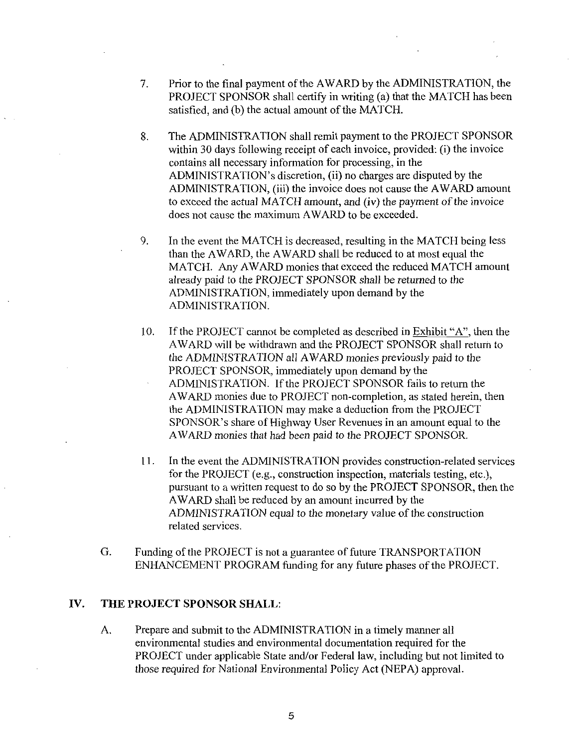- 7. Prior to the final payment of the AWARD by the ADMINISTRATION, the PROJECT SPONSOR shall certify in writing (a) that the MATCH has been satisfied, and (b) the actual amount of the MATCH.
- 8. The ADMINISTRATION shall remit payment to the PROJECT SPONSOR The ADMINISTRATION shall remit payment to the PROJEC<br>within 30 days following receipt of each invoice, provided: (i)<br>contains all necessary information for processing in the within 30 days following receipt of each invoice, provided: (i) the invoice contains all necessary information for processing in the Prior to the final payment of the AWARD by the ADMINISTRATIO<br>PROJECT SPONSOR shall certify in writing (a) that the MATCH ha<br>satisfied, and (b) the actual amount of the MATCH.<br>The ADMINISTRATION shall remit payment to the P ADMINISTRATION's discretion, (ii) no charges are disputed by the ADMINISTRATION, (iii) the invoice does not cause the AWARD amount to exceed the actual MATCH amount, and  $(iv)$  the payment of the invoice does not cause the maximum AWARD to be exceeded
- 9. In the event the MATCH is decreased, resulting in the MATCH being less than the AWARD, the AWARD shall be reduced to at most equal the MATCH. Any AWARD monies that exceed the reduced MATCH amount already paid to the PROJECT SPONSOR shall be returned to the ADMINISTRATION, immediately upon demand by the ADMINISTRATION
- 10. If the PROJECT cannot be completed as described in Exhibit "A", then the AWARD will be withdrawn and the PROJECT SPONSOR shall return to the ADMINISTRATION all AWARD monies previously paid to the PROJECT SPONSOR, immediately upon demand by the ADMINISTRATION. If the PROJECT SPONSOR fails to return the AWARD monies due to PROJECT non-completion, as stated herein, then the ADMINISTRATION may make a deduction from the PROJECT the ADMINISTRATION all AWARD monies previously paid to the<br>PROJECT SPONSOR, immediately upon demand by the<br>ADMINISTRATION. If the PROJECT SPONSOR fails to return the<br>AWARD monies due to PROJECT non-completion, as stated he AWARD monies that had been paid to the PROJECT SPONSOR
- 11. In the event the ADMINISTRATION provides construction-related services<br>for the PROJECT (e.g., construction inspection, materials testing, etc.),<br>pursuant to a written request to do so by the PROJECT SPONSOR, then the pursuant to awritten request to do so by the PROJECT SPONSOR then the AWARD shall be reduced by an amount incurred by the ADMINISTRATION equal to the monetary value of the construction related services
- G. Funding of the PROJECT is not a guarantee of future TRANSPORTATION ENHANCEMENT PROGRAM funding for any future phases of the PROJECT.

#### IV. THE PROJECT SPONSOR SHALL:

A. Prepare and submit to the ADMINISTRATION in a timely manner all environmental studies and environmental documentation required for the PROJECT under applicable State and/or Federal law, including but not limited to those required for National Environmental Policy Act (NEPA) approval.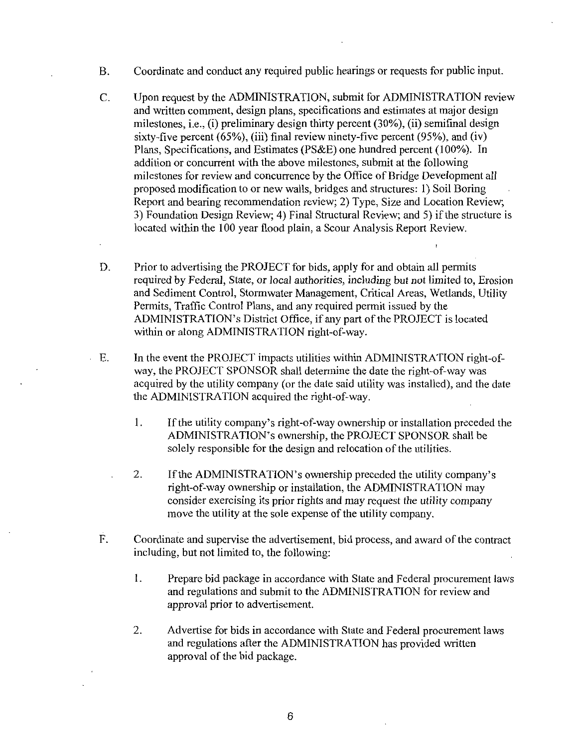- B. Coordinate and conduct any required public hearings or requests for public input.
- C. Upon request by the ADMINISTRATION, submit for ADMINISTRATION review and written comment, design plans, specifications and estimates at major design Coordinate and conduct any required public hearings or requests for public input<br>Upon request by the ADMINISTRATION, submit for ADMINISTRATION revi-<br>and written comment, design plans, specifications and estimates at major milestones, i.e., (i) preliminary design thirty percent  $(30\%)$ , (ii) semifinal design sixty-five percent  $(65\%)$ , (iii) final review ninety-five percent  $(95\%)$ , and (iv) Plans, Specifications, and Estimates (PS&E) one hundred percent (100%). In addition or concurrent with the above milestones, submit at the following milestones for review and concurrence by the Office of Bridge Development all proposed modification to or new walls, bridges and structures: 1) Soil Boring Report and bearing recommendation review; 2) Type, Size and Location Review; 3) Foundation Design Review; 4) Final Structural Review; and 5) if the structure is located within the 100 year flood plain, a Scour Analysis Report Review.
- D. Prior to advertising the PROJECT for bids, apply for and obtain all permits required by Federal, State, or local authorities, including but not limited to, Erosion and Sediment Control, Stormwater Management, Critical Areas, Wetlands, Utility Permits, Traffic Control Plans, and any required permit issued by the Report and bearing recommendation review; 2) Type, Size and Location Revides (Report and bearing recommendation review; 2) Type, Size and Location Revides) Foundation Design Review; 4) Final Structural Review; and 5) if th required by Federal, State, or local authorities, included Sediment Control, Stormwater Management, Cremits, Traffic Control Plans, and any required per ADMINISTRATION's District Office, if any part o within or along ADMIN within or along ADMINISTRATION right-of-way.<br>
E. In the event the PROJECT impacts utilities within ADMINISTRATION right-of-
- WENTHON S DISTINCT, The PROJECT SPONSOR SHALL STATION TO THE PROJECT IS Related<br>In the event the PROJECT impacts utilities within ADMINISTRATION right<br>way, the PROJECT SPONSOR shall determine the date the right-of-way was<br> acquired by the utility company (or the date said utility was installed), and the date the ADMINISTRATION acquired the right-of-way. In the event the PROJECT impacts utilities within A<br>way, the PROJECT SPONSOR shall determine the c<br>acquired by the utility company (or the date said util<br>the ADMINISTRATION acquired the right-of-way. vent the PROJECT impacts utilities within ADMINISTRATION right-of-<br>e PROJECT SPONSOR shall determine the date the right-of-way was<br>d by the utility company (or the date said utility was installed), and the date<br>MINISTRATIO VISTRATION's District Office, if any part of the PROJECT is located<br>or along ADMINISTRATION right-of-way.<br>vent the PROJECT impacts utilities within ADMINISTRATION right<br>e PROJECT SPONSOR shall determine the date the rightthe PROJECT impacts uti<br>DJECT SPONSOR shall of<br>the utility company (or the<br>STRATION acquired the<br>utility company's right-c<br>INISTRATION's owners<br>responsible for the designal ADMINISTRATION's of-way ownership or inst<br>fer exe
	- installation preceded<br>SPONSOR shall be<br>the utilities.<br>the utility company's<br>the utility company
	- solely responsible for the design and relocation of the utilities.<br>If the ADMINISTRATION's ownership preceded the utility c<br>right-of-way ownership or installation, the ADMINISTRATIC<br>consider exercising its prior rights and 2. If the ADMINISTRATION's ownership preceded ownership or installation, the ADMINISTRATION may consider exercising its prior rights and may request the utility company move the utility at the sole expense of the utility company.
- F. Coordinate and supervise the advertisement, bid process, and award of the contract including, but not limited to, the following:
	- 1. Prepare bid package in accordance with State and Federal procurement laws and regulations and submit to the ADMINISTRATION for review and approval prior to advertisement
	- 2. Advertise for bids in accordance with State and Federal procurement laws and regulations after the ADMINISTRATION has provided written approval of the bid package.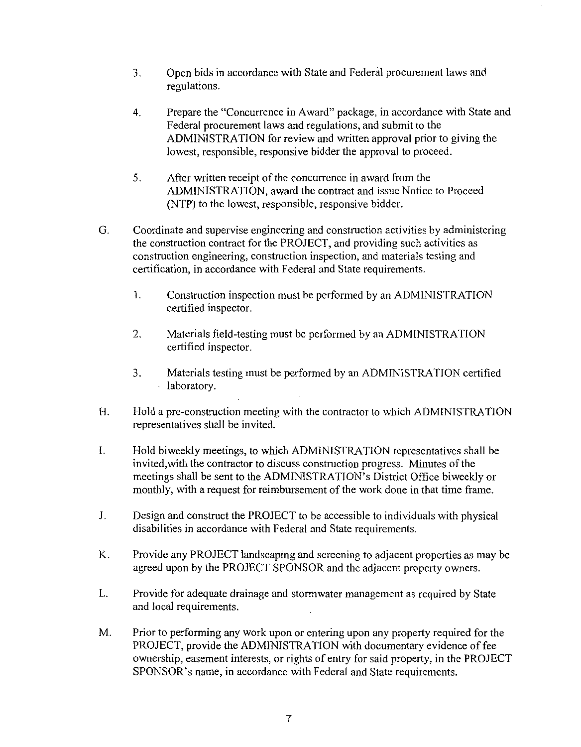- 3. Open bids in accordance with State and Federal procurement laws and regulations
- 4. Prepare the "Concurrence in Award" package, in accordance with State and Federal procurement laws and regulations, and submit to the ADMINISTRATION for review and written approval prior to giving the lowest, responsible, responsive bidder the approval to proceed.
- 5. After written receipt of the concurrence in award from the ADMINISTRATION, award the contract and issue Notice to Proceed (NTP) to the lowest, responsible, responsive bidder.
- G. Coordinate and supervise engineering and construction activities by administering the construction contract for the PROJECT and providing such activities as construction engineering, construction inspection, and materials testing and certification, in accordance with Federal and State requirements.
	- $1.$ Construction inspection must be performed by an ADMINISTRATION certified inspector
	- 2. Materials field-testing must be performed by an ADMINISTRATION certified inspector
- Materials testing must be performed by an ADMINISTRATION certified laboratory 3. Materials testing must be performed by an ADMINISTRATION certified<br>laboratory.<br>H. Hold a pre-construction meeting with the contractor to which ADMINISTRATION
- representatives shall be invited
- 3. Materials testing must be performed by an ADMINISTRATION certifie<br>laboratory.<br>Hold a pre-construction meeting with the contractor to which ADMINISTRATI<br>representatives shall be invited.<br>Hold biweekly meetings, to which Hold biweekly meetings, to which ADMINISTRATION representatives shall be  $\mathbf{L}$ invited, with the contractor to discuss construction progress. Minutes of the meetings shall be sent to the ADMINISTRATION's District Office biweekly or monthly, with a request for reimbursement of the work done in that time frame.
- $J<sub>r</sub>$ Design and construct the PROJECT to be accessible to individuals with physical disabilities in accordance with Federal and State requirements.
- K. Provide any PROJECT landscaping and screening to adjacent properties as may be agreed upon by the PROJECT SPONSOR and the adjacent property owners.
- L. Provide for adequate drainage and stormwater management as required by State and local requirements
- M. Prior to performing any work upon or entering upon any property required for the PROJECT, provide the ADMINISTRATION with documentary evidence of fee ownership, easement interests, or rights of entry for said property, in the PROJECT SPONSOR's name, in accordance with Federal and State requirements.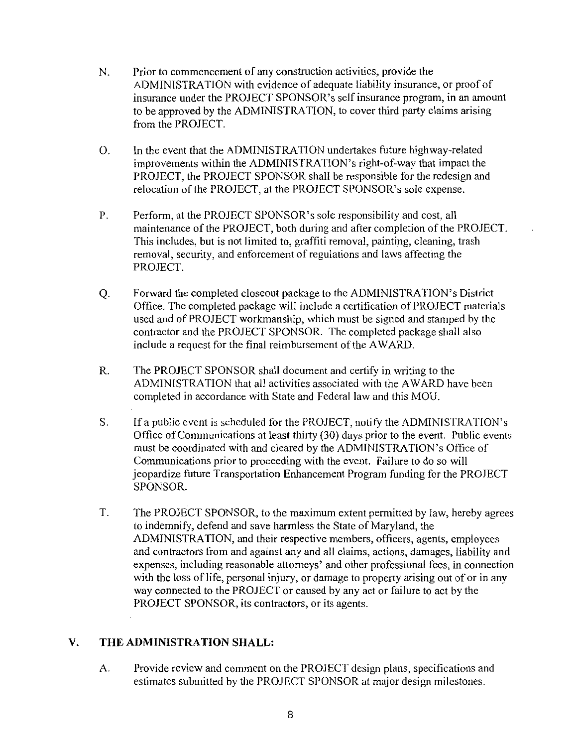- N. Prior to commencement of any construction activities, provide the ADMINISTRATION with evidence of adequate liability insurance, or proof of Prior to commencement of any construction activities, provide the<br>ADMINISTRATION with evidence of adequate liability insurance, or proof of<br>insurance under the PROJECT SPONSOR's self insurance program, in an amount<br>to be a from the PROJECT Prior to commencement of any construction activities, provide the<br>ADMINISTRATION with evidence of adequate liability insurance, or proof o<br>insurance under the PROJECT SPONSOR's self insurance program, in an ame<br>from the PR
- O. In the event that the ADMINISTRATION undertakes future highway-related improvements within the ADMINISTRATION's right-of-way that impact the PROJECT the PROJECT SPONSOR shall be responsible for the redesign and from the PROJECT.<br>In the event that the ADMINISTRATION undertakes future highway-relation<br>improvements within the ADMINISTRATION's right-of-way that impact<br>PROJECT, the PROJECT SPONSOR shall be responsible for the redesign In the event that the ADMINISTRATION undertakes future highway-re-<br>improvements within the ADMINISTRATION's right-of-way that imp<br>PROJECT, the PROJECT SPONSOR shall be responsible for the redes<br>relocation of the PROJECT, a
- Perform, at the PROJECT SPONSOR's sole responsibility and cost, all maintenance of the PROJECT, both during and after completion of the PROJECT. This includes, but is not limited to, graffiti removal, painting, cleaning, trash removal, security, and enforcement of regulations and laws affecting the PROJECT PROJECT, the PROJECT SPONSOR shall be responsible for the redesign and<br>relocation of the PROJECT SPONSOR shall be responsible for the redesign and<br>relocation of the PROJECT SPONSOR's sole responsibility and cost, all<br>maint
- Forward the completed closeout package to the ADMINISTRATION's District Office. The completed package will include a certification of PROJECT materials used and of PROJECT workmanship, which must be signed and stamped by the contractor and the PROJECT SPONSOR. The completed package shall also include a request for the final reimbursement of the AWARD. of PROJECT materials<br>d and stamped by the<br>package shall also<br>2D.<br>riting to the<br>AWARD have been<br>is MOU.<br>ADMINISTRATION's<br>the event. Public events<br>ATION's Office of<br>re to do so will
- R. The PROJECT SPONSOR shall document and certify in writing to the ADMINISTRATION that all activities associated with the AWARD have been completed in accordance with State and Federal law and this MOU
- Forward the completed closeout package to the ADMINISTRATION's District Office. The completed package will include a certification of PROJECT mate used and of PROJECT workmanship, which must be signed and stamped by the co If a public event is scheduled for the PROJECT, notify the S. Office of Communications at least thirty (30) days prior to the event. Public events Communications prior to proceeding with the event. Failure to do so will jeopardize future Transportation Enhancement Program funding for the PROJECT SPONSOR
- T. The PROJECT SPONSOR, to the maximum extent permitted by law, hereby agrees to indemnify, defend and save harmless the State of Maryland, the ADMINISTRATION, and their respective members, officers, agents, employees and contractors from and against any and all claims, actions, damages, liability and expenses, including reasonable attorneys' and other professional fees, in connection with the loss of life, personal injury, or damage to property arising out of or in any way connected to the PROJECT or caused by any act or failure to act by the PROJECT SPONSOR, its contractors, or its agents.

# V. THE ADMINISTRATION SHALL:

A. Provide review and comment on the PROJECT design plans, specifications and estimates submitted by the PROJECT SPONSOR at major design milestones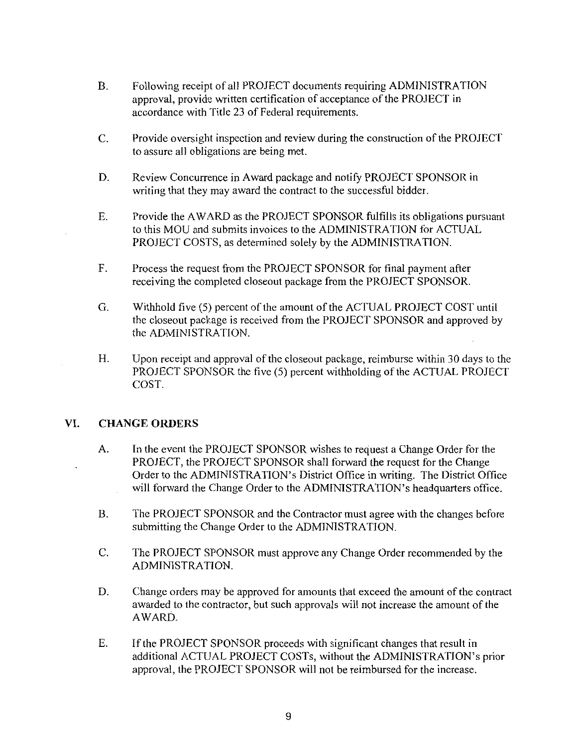- B. Following receipt of all PROJECT documents requiring ADMINISTRATION approval, provide written certification of acceptance of the PROJECT in accordance with Title 23 of Federal requirements.
- C. Provide oversight inspection and review during the construction of the PROJECT to assure all obligations are being met.
- D. Review Concurrence in Award package and notify PROJECT SPONSOR in writing that they may award the contract to the successful bidder.
- E Provide the AWARD as the PROJECT SPONSOR fulfills its obligations pursuant to this MOU and submits invoices to the ADMINISTRATION for ACTUAL PROJECT COSTS, as determined solely by the ADMINISTRATION.
- $F_{\cdot}$ Process the request from the PROJECT SPONSOR for final payment after receiving the completed closeout package from the PROJECT SPONSOR
- G. Withhold five (5) percent of the amount of the ACTUAL PROJECT COST until the closeout package is received from the PROJECT SPONSOR and approved by the ADMINISTRATION
- H. Upon receipt and approval of the closeout package, reimburse within 30 days to the PROJECT SPONSOR the five (5) percent withholding of the ACTUAL PROJECT COST

# VI. CHANGE ORDERS

- A. In the event the PROJECT SPONSOR wishes to request a Change Order for the PROJECT, the PROJECT SPONSOR shall forward the request for the Change Order to the ADMINISTRATION's District Office in writing. The District Office Upon receipt and approval of the closeout package, reimburse within 30 days to the<br>PROJECT SPONSOR the five (5) percent withholding of the ACTUAL PROJECT<br>COST.<br> **GE ORDERS**<br>
In the event the PROJECT SPONSOR wishes to reque will forward the Change Order to the ADMINISTRATION's headquarters office.
- B. The PROJECT SPONSOR and the Contractor must agree with the changes before submitting the Change Order to the ADMINISTRATION.
- C. The PROJECT SPONSOR must approve any Change Order recommended by the ADMINISTRATION
- D. Change orders may be approved for amounts that exceed the amount of the contract awarded to the contractor, but such approvals will not increase the amount of the AWARD
- E. If the PROJECT SPONSOR proceeds with significant changes that result in additional ACTUAL PROJECT COSTs, without the ADMINISTRATION's prior approval, the PROJECT SPONSOR will not be reimbursed for the increase.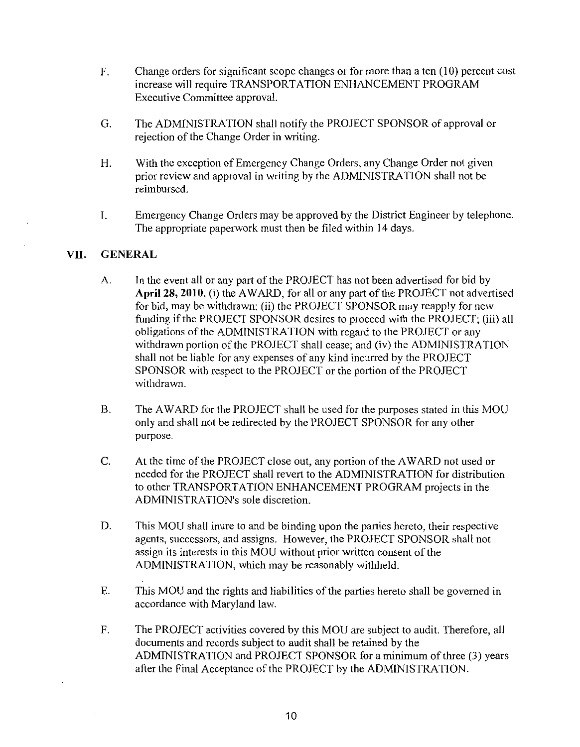- F. Change orders for significant scope changes or for more than a ten (10) percent cost increase will require TRANSPORTATION ENHANCEMENT PROGRAM Executive Committee approval
- G. The ADMINISTRATION shall notify the PROJECT SPONSOR of approval or rejection of the Change Order in writing.
- H. With the exception of Emergency Change Orders, any Change Order not given prior review and approval in writing by the ADMINISTRATION shall not be reimbursed
- I. Emergency Change Orders may be approved by the District Engineer by telephone. The appropriate paperwork must then be filed within 14 days.

#### VII. GENERAL

- A. In the event all or any part of the PROJECT has not been advertised for bid by In the event all or any part of the PROJECT has not been advertised for bid by<br>April 28, 2010, (i) the AWARD, for all or any part of the PROJECT not advertised<br>for bid, may be withdrawn: (ii) the PROJECT SPONSOR may reappl April 28, 2010, (i) the AWARD, for all or any part of the PROJECT not advert<br>for bid, may be withdrawn; (ii) the PROJECT SPONSOR may reapply for new for bid, may be withdrawn; (ii) the PROJECT SPONSOR may reapply for new funding if the PROJECT SPONSOR desires to proceed with the PROJECT; (iii) all obligations of the ADMINISTRATION with regard to the PROJECT or any withdrawn portion of the PROJECT shall cease; and (iv) the ADMINISTRATION shall not be liable for any expenses of any kind incurred by the PROJECT SPONSOR with respect to the PROJECT or the portion of the PROJECT withdrawn
- B. The AWARD for the PROJECT shall be used for the purposes stated in this MOU only and shall not be redirected by the PROJECT SPONSOR for any other purpose
- C. At the time of the PROJECT close out, any portion of the AWARD not used or needed for the PROJECT shall revert to the ADMINISTRATION for distribution At the time of the PROJECT close out, any portion of the AWARD not used of<br>needed for the PROJECT shall revert to the ADMINISTRATION for distribut<br>to other TRANSPORTATION ENHANCEMENT PROGRAM projects in the<br>ADMINISTRATION' withdrawn.<br>The AWARD for the PROJECT shall<br>only and shall not be redirected by the<br>purpose.<br>At the time of the PROJECT close out<br>needed for the PROJECT shall revert to<br>to other TRANSPORTATION ENHA<br>ADMINISTRATION's sole dis
- D. This MOU shall inure to and be binding upon the parties hereto, their respective agents, successors, and assigns. However, the PROJECT SPONSOR shall not assign its interests in this MOU without prior written consent of the ADMINISTRATION, which may be reasonably withheld.
- E. This MOU and the rights and liabilities of the parties hereto shall be governed in accordance with Maryland law
- F. The PROJECT activities covered by this MOU are subject to audit. Therefore, all documents and records subject to audit shall be retained by the ADMINISTRATION and PROJECT SPONSOR for a minimum of three (3) years after the Final Acceptance of the PROJECT by the ADMINISTRATION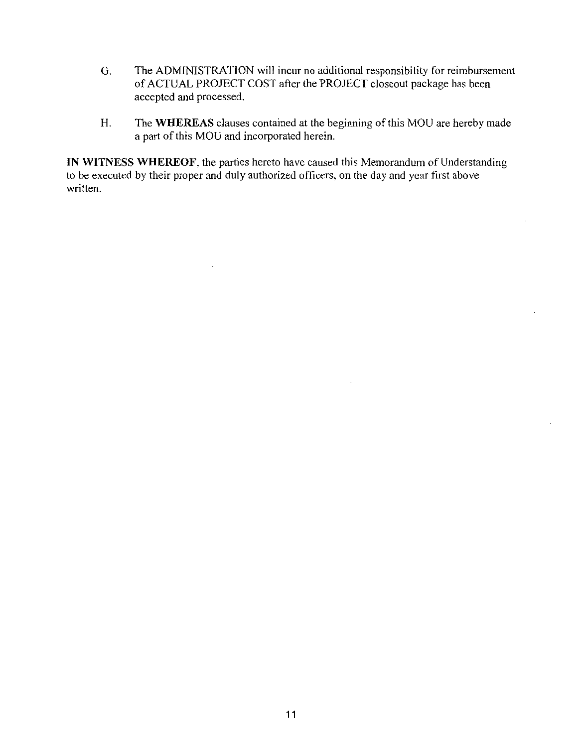- G. The ADMINISTRATION will incur no additional responsibility for reimbursement of ACTUAL PROJECT COST after the PROJECT closeout package has been accepted and processed
- H. The WHEREAS clauses contained at the beginning of this MOU are hereby made a part of this MOU and incorporated herein.

IN WITNESS WHEREOF, the parties hereto have caused this Memorandum of Understanding to be executed by their proper and duly authorized officers, on the day and year first above written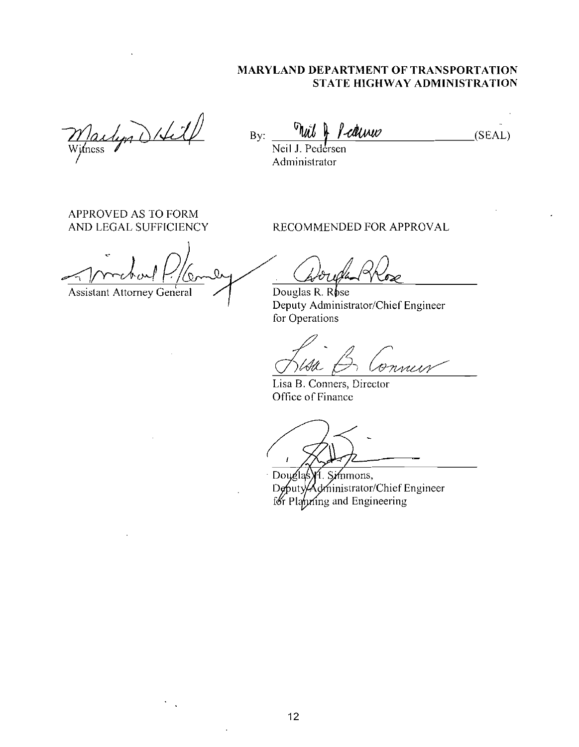# MARYLAND DEPARTMENT OF TRANSPORTATION STATE HIGHWAY ADMINISTRATION

 $\frac{m_{\text{min}}}{m_{\text{min}}}\frac{m_{\text{min}}}{m_{\text{min}}}}$ 

STATE HIGHWAY ADMINISTRATIO<br>By:  $\frac{\partial u}{\partial x}$  /-dluw (SEAL)

Administrator

APPROVED AS TO FORM

AND LEGAL SUFFICIENCY RECOMMENDED FOR APPROVAL

Assistant Attorney General  $\Box$  Douglas R. Rose

Deputy Administrator/Chief Engineer for Operations

rness

Lisa B. Conners, Director Office of Finance

VI. Simmons,<br>Administrator/Chief Engineer Douglas D buty Planning and Engineering főr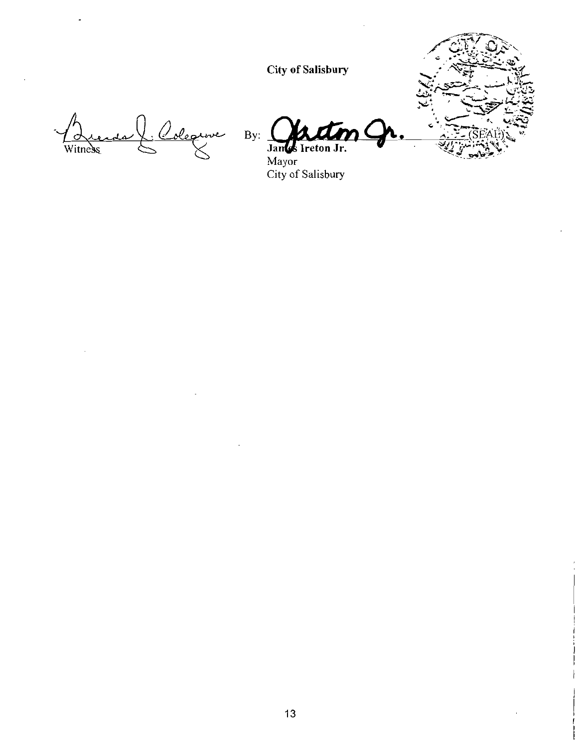**City of Salisbury** 



By:  $\frac{1}{2}$ Jances Ireton Jr.

Mayor<br>City of Salisbury